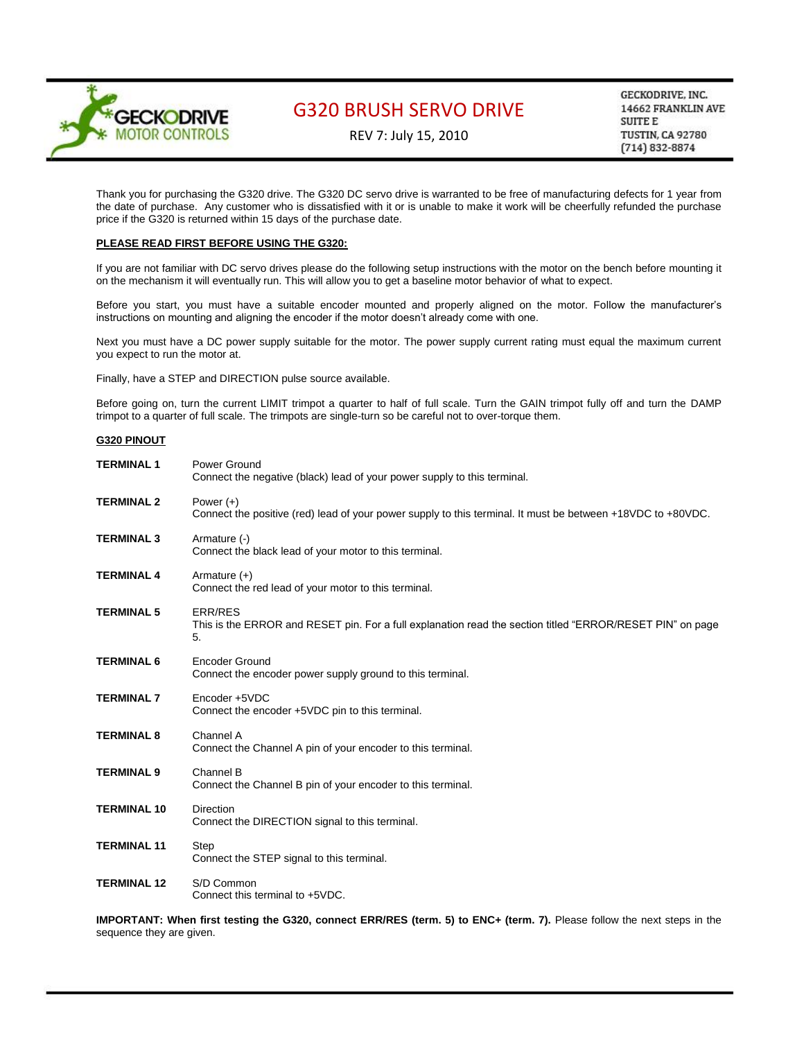

REV 7: July 15, 2010

GECKODRIVE, INC. 14662 FRANKLIN AVE **SUITE E** TUSTIN, CA 92780  $(714) 832 - 8874$ 

Thank you for purchasing the G320 drive. The G320 DC servo drive is warranted to be free of manufacturing defects for 1 year from the date of purchase. Any customer who is dissatisfied with it or is unable to make it work will be cheerfully refunded the purchase price if the G320 is returned within 15 days of the purchase date.

## **PLEASE READ FIRST BEFORE USING THE G320:**

If you are not familiar with DC servo drives please do the following setup instructions with the motor on the bench before mounting it on the mechanism it will eventually run. This will allow you to get a baseline motor behavior of what to expect.

Before you start, you must have a suitable encoder mounted and properly aligned on the motor. Follow the manufacturer's instructions on mounting and aligning the encoder if the motor doesn't already come with one.

Next you must have a DC power supply suitable for the motor. The power supply current rating must equal the maximum current you expect to run the motor at.

Finally, have a STEP and DIRECTION pulse source available.

Before going on, turn the current LIMIT trimpot a quarter to half of full scale. Turn the GAIN trimpot fully off and turn the DAMP trimpot to a quarter of full scale. The trimpots are single-turn so be careful not to over-torque them.

## **G320 PINOUT**

| <b>TERMINAL 1</b>  | Power Ground<br>Connect the negative (black) lead of your power supply to this terminal.                                          |
|--------------------|-----------------------------------------------------------------------------------------------------------------------------------|
| <b>TERMINAL 2</b>  | Power $(+)$<br>Connect the positive (red) lead of your power supply to this terminal. It must be between +18VDC to +80VDC.        |
| <b>TERMINAL 3</b>  | Armature (-)<br>Connect the black lead of your motor to this terminal.                                                            |
| <b>TERMINAL 4</b>  | Armature $(+)$<br>Connect the red lead of your motor to this terminal.                                                            |
| <b>TERMINAL 5</b>  | <b>ERR/RES</b><br>This is the ERROR and RESET pin. For a full explanation read the section titled "ERROR/RESET PIN" on page<br>5. |
| <b>TERMINAL 6</b>  | <b>Encoder Ground</b><br>Connect the encoder power supply ground to this terminal.                                                |
| <b>TERMINAL 7</b>  | Encoder +5VDC<br>Connect the encoder +5VDC pin to this terminal.                                                                  |
| <b>TERMINAL 8</b>  | Channel A<br>Connect the Channel A pin of your encoder to this terminal.                                                          |
| <b>TERMINAL 9</b>  | Channel B<br>Connect the Channel B pin of your encoder to this terminal.                                                          |
| <b>TERMINAL 10</b> | <b>Direction</b><br>Connect the DIRECTION signal to this terminal.                                                                |
| <b>TERMINAL 11</b> | Step<br>Connect the STEP signal to this terminal.                                                                                 |
| <b>TERMINAL 12</b> | S/D Common<br>Connect this terminal to +5VDC.                                                                                     |

**IMPORTANT: When first testing the G320, connect ERR/RES (term. 5) to ENC+ (term. 7).** Please follow the next steps in the sequence they are given.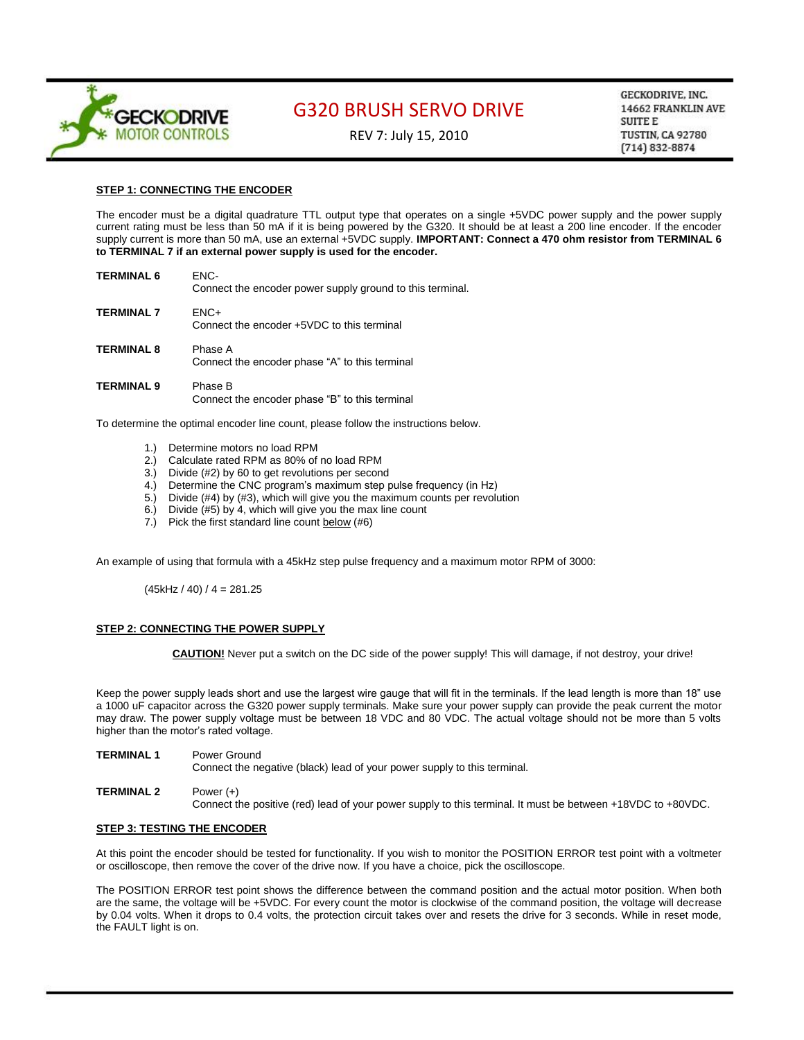

REV 7: July 15, 2010

GECKODRIVE, INC. 14662 FRANKLIN AVE **SUITE E TUSTIN, CA 92780**  $(714) 832 - 8874$ 

## **STEP 1: CONNECTING THE ENCODER**

The encoder must be a digital quadrature TTL output type that operates on a single +5VDC power supply and the power supply current rating must be less than 50 mA if it is being powered by the G320. It should be at least a 200 line encoder. If the encoder supply current is more than 50 mA, use an external +5VDC supply. **IMPORTANT: Connect a 470 ohm resistor from TERMINAL 6 to TERMINAL 7 if an external power supply is used for the encoder.**

| <b>TERMINAL 6</b> | FNC-<br>Connect the encoder power supply ground to this terminal. |
|-------------------|-------------------------------------------------------------------|
| <b>TERMINAL 7</b> | $ENC+$<br>Connect the encoder +5VDC to this terminal              |
| <b>TERMINAL 8</b> | Phase A<br>Connect the encoder phase "A" to this terminal         |
| TFRMINAL 9        | Phase R                                                           |

Connect the encoder phase "B" to this terminal

To determine the optimal encoder line count, please follow the instructions below.

- 1.) Determine motors no load RPM
- 2.) Calculate rated RPM as 80% of no load RPM
- 3.) Divide (#2) by 60 to get revolutions per second
- 4.) Determine the CNC program's maximum step pulse frequency (in Hz)
- 5.) Divide (#4) by (#3), which will give you the maximum counts per revolution
- 6.) Divide (#5) by 4, which will give you the max line count
- 7.) Pick the first standard line count below (#6)

An example of using that formula with a 45kHz step pulse frequency and a maximum motor RPM of 3000:

 $(45kHz / 40) / 4 = 281.25$ 

## **STEP 2: CONNECTING THE POWER SUPPLY**

**CAUTION!** Never put a switch on the DC side of the power supply! This will damage, if not destroy, your drive!

Keep the power supply leads short and use the largest wire gauge that will fit in the terminals. If the lead length is more than 18" use a 1000 uF capacitor across the G320 power supply terminals. Make sure your power supply can provide the peak current the motor may draw. The power supply voltage must be between 18 VDC and 80 VDC. The actual voltage should not be more than 5 volts higher than the motor's rated voltage.

**TERMINAL 1** Power Ground

Connect the negative (black) lead of your power supply to this terminal.

**TERMINAL 2** Power (+) Connect the positive (red) lead of your power supply to this terminal. It must be between +18VDC to +80VDC.

#### **STEP 3: TESTING THE ENCODER**

At this point the encoder should be tested for functionality. If you wish to monitor the POSITION ERROR test point with a voltmeter or oscilloscope, then remove the cover of the drive now. If you have a choice, pick the oscilloscope.

The POSITION ERROR test point shows the difference between the command position and the actual motor position. When both are the same, the voltage will be +5VDC. For every count the motor is clockwise of the command position, the voltage will decrease by 0.04 volts. When it drops to 0.4 volts, the protection circuit takes over and resets the drive for 3 seconds. While in reset mode, the FAULT light is on.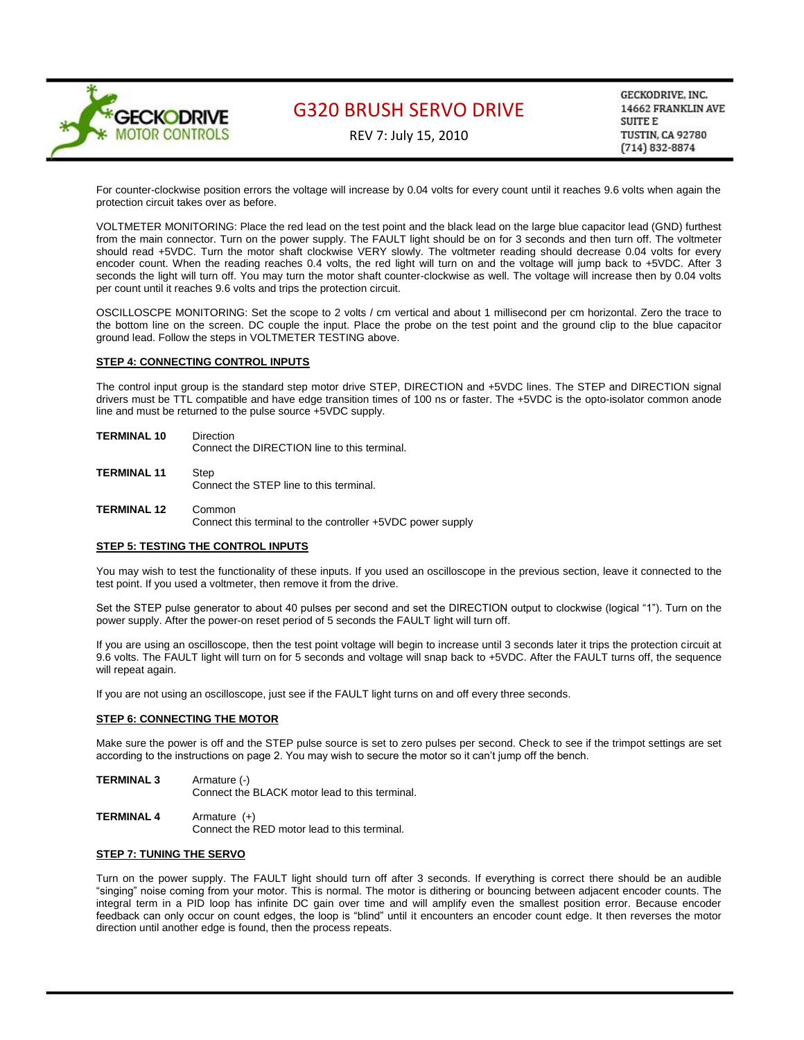

REV 7: July 15, 2010

GECKODRIVE, INC. 14662 FRANKLIN AVE **SUITE E TUSTIN, CA 92780**  $(714) 832 - 8874$ 

For counter-clockwise position errors the voltage will increase by 0.04 volts for every count until it reaches 9.6 volts when again the protection circuit takes over as before.

VOLTMETER MONITORING: Place the red lead on the test point and the black lead on the large blue capacitor lead (GND) furthest from the main connector. Turn on the power supply. The FAULT light should be on for 3 seconds and then turn off. The voltmeter should read +5VDC. Turn the motor shaft clockwise VERY slowly. The voltmeter reading should decrease 0.04 volts for every encoder count. When the reading reaches 0.4 volts, the red light will turn on and the voltage will jump back to +5VDC. After 3 seconds the light will turn off. You may turn the motor shaft counter-clockwise as well. The voltage will increase then by 0.04 volts per count until it reaches 9.6 volts and trips the protection circuit.

OSCILLOSCPE MONITORING: Set the scope to 2 volts / cm vertical and about 1 millisecond per cm horizontal. Zero the trace to the bottom line on the screen. DC couple the input. Place the probe on the test point and the ground clip to the blue capacitor ground lead. Follow the steps in VOLTMETER TESTING above.

## **STEP 4: CONNECTING CONTROL INPUTS**

The control input group is the standard step motor drive STEP, DIRECTION and +5VDC lines. The STEP and DIRECTION signal drivers must be TTL compatible and have edge transition times of 100 ns or faster. The +5VDC is the opto-isolator common anode line and must be returned to the pulse source +5VDC supply.

- **TERMINAL 10** Direction Connect the DIRECTION line to this terminal.
- **TERMINAL 11** Step Connect the STEP line to this terminal.
- **TERMINAL 12** Common Connect this terminal to the controller +5VDC power supply

### **STEP 5: TESTING THE CONTROL INPUTS**

You may wish to test the functionality of these inputs. If you used an oscilloscope in the previous section, leave it connected to the test point. If you used a voltmeter, then remove it from the drive.

Set the STEP pulse generator to about 40 pulses per second and set the DIRECTION output to clockwise (logical "1"). Turn on the power supply. After the power-on reset period of 5 seconds the FAULT light will turn off.

If you are using an oscilloscope, then the test point voltage will begin to increase until 3 seconds later it trips the protection circuit at 9.6 volts. The FAULT light will turn on for 5 seconds and voltage will snap back to +5VDC. After the FAULT turns off, the sequence will repeat again.

If you are not using an oscilloscope, just see if the FAULT light turns on and off every three seconds.

### **STEP 6: CONNECTING THE MOTOR**

Make sure the power is off and the STEP pulse source is set to zero pulses per second. Check to see if the trimpot settings are set according to the instructions on page 2. You may wish to secure the motor so it can't jump off the bench.

- **TERMINAL 3** Armature (-) Connect the BLACK motor lead to this terminal.
- **TERMINAL 4** Armature (+) Connect the RED motor lead to this terminal.

## **STEP 7: TUNING THE SERVO**

Turn on the power supply. The FAULT light should turn off after 3 seconds. If everything is correct there should be an audible "singing" noise coming from your motor. This is normal. The motor is dithering or bouncing between adjacent encoder counts. The integral term in a PID loop has infinite DC gain over time and will amplify even the smallest position error. Because encoder feedback can only occur on count edges, the loop is "blind" until it encounters an encoder count edge. It then reverses the motor direction until another edge is found, then the process repeats.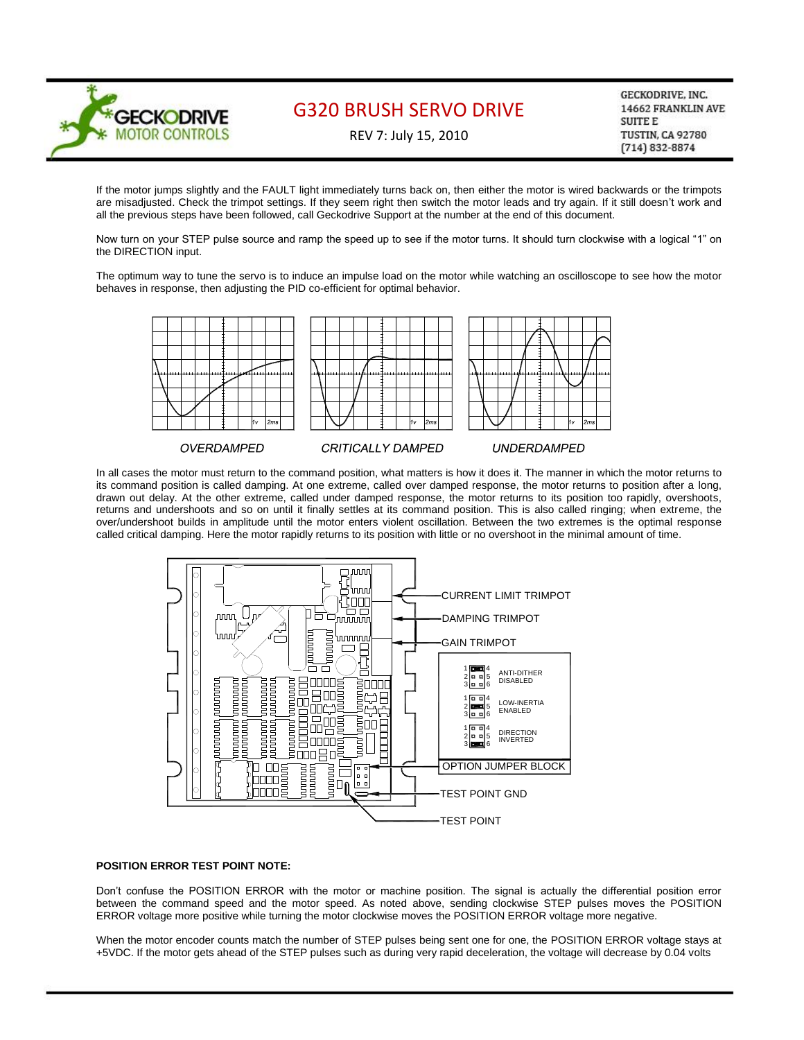

REV 7: July 15, 2010

GECKODRIVE, INC. 14662 FRANKLIN AVE **SUITE E** TUSTIN, CA 92780  $(714) 832 - 8874$ 

If the motor jumps slightly and the FAULT light immediately turns back on, then either the motor is wired backwards or the trimpots are misadjusted. Check the trimpot settings. If they seem right then switch the motor leads and try again. If it still doesn't work and all the previous steps have been followed, call Geckodrive Support at the number at the end of this document.

Now turn on your STEP pulse source and ramp the speed up to see if the motor turns. It should turn clockwise with a logical "1" on the DIRECTION input.

The optimum way to tune the servo is to induce an impulse load on the motor while watching an oscilloscope to see how the motor behaves in response, then adjusting the PID co-efficient for optimal behavior.



In all cases the motor must return to the command position, what matters is how it does it. The manner in which the motor returns to its command position is called damping. At one extreme, called over damped response, the motor returns to position after a long, drawn out delay. At the other extreme, called under damped response, the motor returns to its position too rapidly, overshoots, returns and undershoots and so on until it finally settles at its command position. This is also called ringing; when extreme, the over/undershoot builds in amplitude until the motor enters violent oscillation. Between the two extremes is the optimal response called critical damping. Here the motor rapidly returns to its position with little or no overshoot in the minimal amount of time.



### **POSITION ERROR TEST POINT NOTE:**

Don't confuse the POSITION ERROR with the motor or machine position. The signal is actually the differential position error between the command speed and the motor speed. As noted above, sending clockwise STEP pulses moves the POSITION ERROR voltage more positive while turning the motor clockwise moves the POSITION ERROR voltage more negative.

When the motor encoder counts match the number of STEP pulses being sent one for one, the POSITION ERROR voltage stays at +5VDC. If the motor gets ahead of the STEP pulses such as during very rapid deceleration, the voltage will decrease by 0.04 volts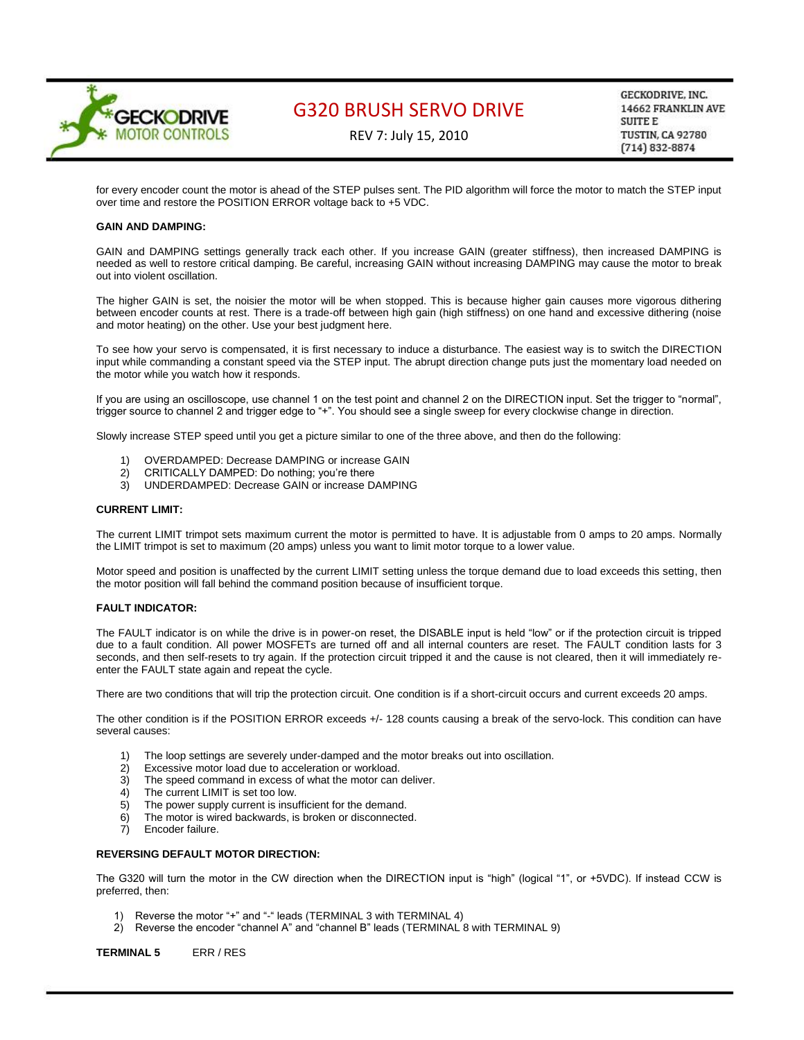

REV 7: July 15, 2010

GECKODRIVE, INC. 14662 FRANKLIN AVE **SUITE E** TUSTIN, CA 92780  $(714) 832 - 8874$ 

for every encoder count the motor is ahead of the STEP pulses sent. The PID algorithm will force the motor to match the STEP input over time and restore the POSITION ERROR voltage back to +5 VDC.

### **GAIN AND DAMPING:**

GAIN and DAMPING settings generally track each other. If you increase GAIN (greater stiffness), then increased DAMPING is needed as well to restore critical damping. Be careful, increasing GAIN without increasing DAMPING may cause the motor to break out into violent oscillation.

The higher GAIN is set, the noisier the motor will be when stopped. This is because higher gain causes more vigorous dithering between encoder counts at rest. There is a trade-off between high gain (high stiffness) on one hand and excessive dithering (noise and motor heating) on the other. Use your best judgment here.

To see how your servo is compensated, it is first necessary to induce a disturbance. The easiest way is to switch the DIRECTION input while commanding a constant speed via the STEP input. The abrupt direction change puts just the momentary load needed on the motor while you watch how it responds.

If you are using an oscilloscope, use channel 1 on the test point and channel 2 on the DIRECTION input. Set the trigger to "normal", trigger source to channel 2 and trigger edge to "+". You should see a single sweep for every clockwise change in direction.

Slowly increase STEP speed until you get a picture similar to one of the three above, and then do the following:

- 1) OVERDAMPED: Decrease DAMPING or increase GAIN
- 2) CRITICALLY DAMPED: Do nothing; you're there<br>3) UNDERDAMPED: Decrease GAIN or increase D.
- UNDERDAMPED: Decrease GAIN or increase DAMPING

### **CURRENT LIMIT:**

The current LIMIT trimpot sets maximum current the motor is permitted to have. It is adjustable from 0 amps to 20 amps. Normally the LIMIT trimpot is set to maximum (20 amps) unless you want to limit motor torque to a lower value.

Motor speed and position is unaffected by the current LIMIT setting unless the torque demand due to load exceeds this setting, then the motor position will fall behind the command position because of insufficient torque.

### **FAULT INDICATOR:**

The FAULT indicator is on while the drive is in power-on reset, the DISABLE input is held "low" or if the protection circuit is tripped due to a fault condition. All power MOSFETs are turned off and all internal counters are reset. The FAULT condition lasts for 3 seconds, and then self-resets to try again. If the protection circuit tripped it and the cause is not cleared, then it will immediately reenter the FAULT state again and repeat the cycle.

There are two conditions that will trip the protection circuit. One condition is if a short-circuit occurs and current exceeds 20 amps.

The other condition is if the POSITION ERROR exceeds +/- 128 counts causing a break of the servo-lock. This condition can have several causes:

- 1) The loop settings are severely under-damped and the motor breaks out into oscillation.
- 2) Excessive motor load due to acceleration or workload.
- 3) The speed command in excess of what the motor can deliver.
- 4) The current LIMIT is set too low.
- 5) The power supply current is insufficient for the demand.
- 6) The motor is wired backwards, is broken or disconnected.
- 7) Encoder failure.

## **REVERSING DEFAULT MOTOR DIRECTION:**

The G320 will turn the motor in the CW direction when the DIRECTION input is "high" (logical "1", or +5VDC). If instead CCW is preferred, then:

- 1) Reverse the motor "+" and "-" leads (TERMINAL 3 with TERMINAL 4)
- 2) Reverse the encoder "channel A" and "channel B" leads (TERMINAL 8 with TERMINAL 9)

**TERMINAL 5** ERR / RES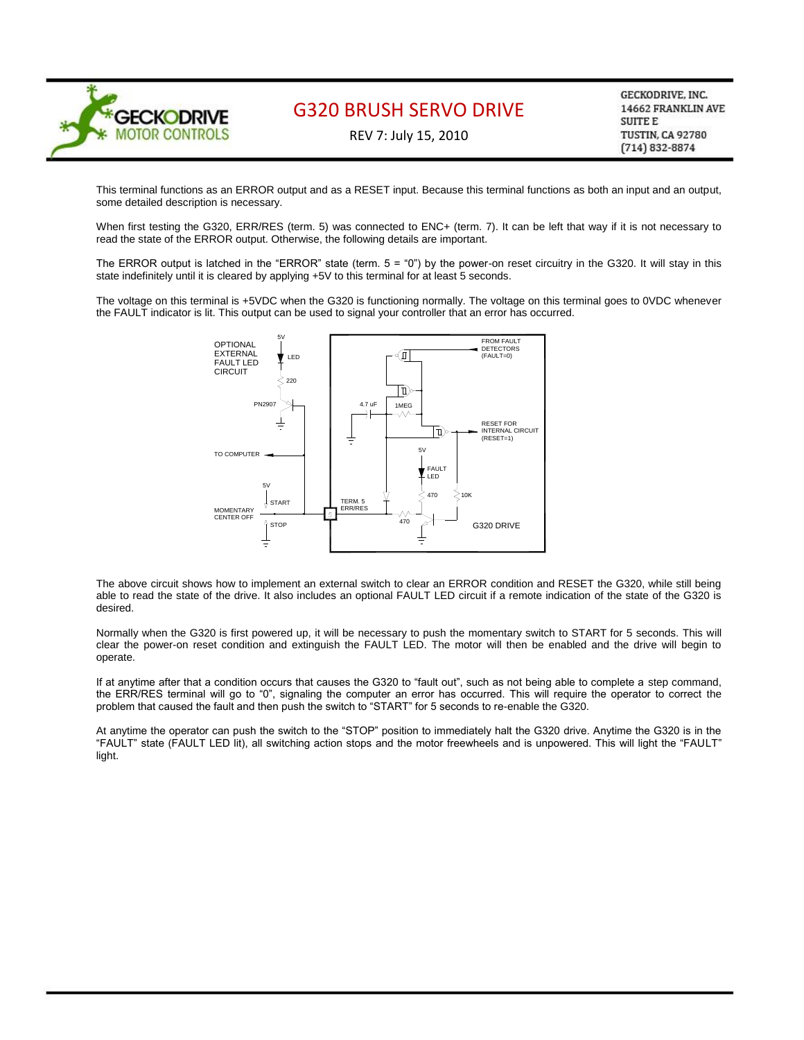

REV 7: July 15, 2010

GECKODRIVE, INC. 14662 FRANKLIN AVE **SUITE E** TUSTIN, CA 92780  $(714) 832 - 8874$ 

This terminal functions as an ERROR output and as a RESET input. Because this terminal functions as both an input and an output, some detailed description is necessary.

When first testing the G320, ERR/RES (term. 5) was connected to ENC+ (term. 7). It can be left that way if it is not necessary to read the state of the ERROR output. Otherwise, the following details are important.

The ERROR output is latched in the "ERROR" state (term.  $5 = "0"$ ) by the power-on reset circuitry in the G320. It will stay in this state indefinitely until it is cleared by applying +5V to this terminal for at least 5 seconds.

The voltage on this terminal is +5VDC when the G320 is functioning normally. The voltage on this terminal goes to 0VDC whenever the FAULT indicator is lit. This output can be used to signal your controller that an error has occurred.



The above circuit shows how to implement an external switch to clear an ERROR condition and RESET the G320, while still being able to read the state of the drive. It also includes an optional FAULT LED circuit if a remote indication of the state of the G320 is desired.

Normally when the G320 is first powered up, it will be necessary to push the momentary switch to START for 5 seconds. This will clear the power-on reset condition and extinguish the FAULT LED. The motor will then be enabled and the drive will begin to operate.

If at anytime after that a condition occurs that causes the G320 to "fault out", such as not being able to complete a step command, the ERR/RES terminal will go to "0", signaling the computer an error has occurred. This will require the operator to correct the problem that caused the fault and then push the switch to "START" for 5 seconds to re-enable the G320.

At anytime the operator can push the switch to the "STOP" position to immediately halt the G320 drive. Anytime the G320 is in the "FAULT" state (FAULT LED lit), all switching action stops and the motor freewheels and is unpowered. This will light the "FAULT" light.